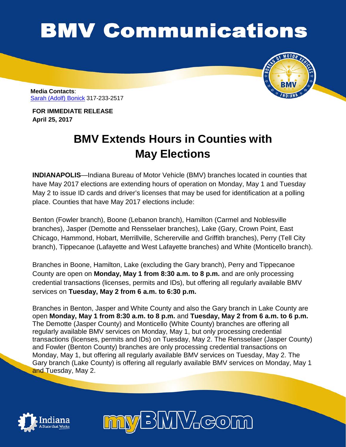## **BMV Communications**

**Media Contacts**: [Sarah \(Adolf\) Bonick](mailto:sbonick@bmv.in.gov) 317-233-2517

**FOR IMMEDIATE RELEASE April 25, 2017**

## **BMV Extends Hours in Counties with May Elections**

**INDIANAPOLIS**—Indiana Bureau of Motor Vehicle (BMV) branches located in counties that have May 2017 elections are extending hours of operation on Monday, May 1 and Tuesday May 2 to issue ID cards and driver's licenses that may be used for identification at a polling place. Counties that have May 2017 elections include:

Benton (Fowler branch), Boone (Lebanon branch), Hamilton (Carmel and Noblesville branches), Jasper (Demotte and Rensselaer branches), Lake (Gary, Crown Point, East Chicago, Hammond, Hobart, Merrillville, Schererville and Griffith branches), Perry (Tell City branch), Tippecanoe (Lafayette and West Lafayette branches) and White (Monticello branch).

Branches in Boone, Hamilton, Lake (excluding the Gary branch), Perry and Tippecanoe County are open on **Monday, May 1 from 8:30 a.m. to 8 p.m.** and are only processing credential transactions (licenses, permits and IDs), but offering all regularly available BMV services on **Tuesday, May 2 from 6 a.m. to 6:30 p.m.**

Branches in Benton, Jasper and White County and also the Gary branch in Lake County are open **Monday, May 1 from 8:30 a.m. to 8 p.m.** and **Tuesday, May 2 from 6 a.m. to 6 p.m.** The Demotte (Jasper County) and Monticello (White County) branches are offering all regularly available BMV services on Monday, May 1, but only processing credential transactions (licenses, permits and IDs) on Tuesday, May 2. The Rensselaer (Jasper County) and Fowler (Benton County) branches are only processing credential transactions on Monday, May 1, but offering all regularly available BMV services on Tuesday, May 2. The Gary branch (Lake County) is offering all regularly available BMV services on Monday, May 1 and Tuesday, May 2.